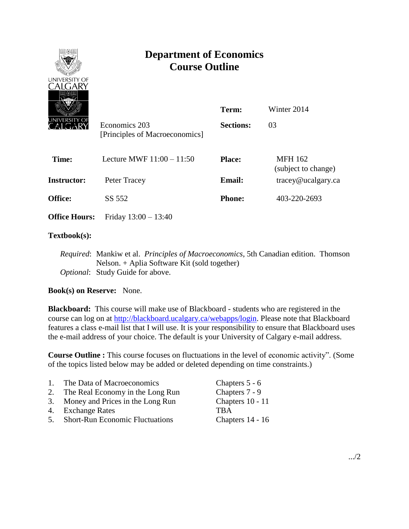

# **Department of Economics Course Outline**

| wezi<br>JNIVERSITY OF | Economics 203<br>[Principles of Macroeconomics] | Term:<br><b>Sections:</b> | Winter 2014<br>03                               |
|-----------------------|-------------------------------------------------|---------------------------|-------------------------------------------------|
| Time:                 | Lecture MWF $11:00 - 11:50$                     | <b>Place:</b>             | <b>MFH 162</b><br>(subject to change)           |
| Instructor:           | Peter Tracey                                    | <b>Email:</b>             | $trace\$ <i>e</i> $u$ $c$ $a$ $g$ $arc$ $c$ $a$ |
| <b>Office:</b>        | SS 552                                          | <b>Phone:</b>             | 403-220-2693                                    |
| <b>Office Hours:</b>  | Friday $13:00 - 13:40$                          |                           |                                                 |

## **Textbook(s):**

*Required*: Mankiw et al. *Principles of Macroeconomics*, 5th Canadian edition. Thomson Nelson. + Aplia Software Kit (sold together) *Optional*: Study Guide for above.

## **Book(s) on Reserve:** None.

**Blackboard:** This course will make use of Blackboard - students who are registered in the course can log on at [http://blackboard.ucalgary.ca/webapps/login.](http://blackboard.ucalgary.ca/webapps/login) Please note that Blackboard features a class e-mail list that I will use. It is your responsibility to ensure that Blackboard uses the e-mail address of your choice. The default is your University of Calgary e-mail address.

**Course Outline :** This course focuses on fluctuations in the level of economic activity". (Some of the topics listed below may be added or deleted depending on time constraints.)

| 1. | The Data of Macroeconomics          | Chapters 5 - 6   |
|----|-------------------------------------|------------------|
|    | 2. The Real Economy in the Long Run | Chapters 7 - 9   |
|    | 3. Money and Prices in the Long Run | Chapters 10 - 11 |
|    | 4. Exchange Rates                   | <b>TRA</b>       |
|    | 5. Short-Run Economic Fluctuations  | Chapters 14 - 16 |
|    |                                     |                  |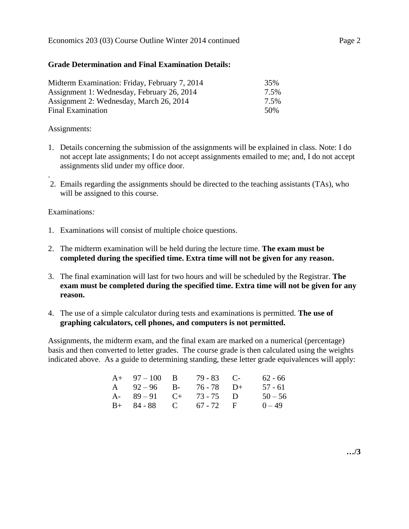#### **Grade Determination and Final Examination Details:**

| Midterm Examination: Friday, February 7, 2014 | 35%             |
|-----------------------------------------------|-----------------|
| Assignment 1: Wednesday, February 26, 2014    | 7.5%            |
| Assignment 2: Wednesday, March 26, 2014       | 7.5%            |
| Final Examination                             | 50 <sub>%</sub> |

#### Assignments:

- 1. Details concerning the submission of the assignments will be explained in class. Note: I do not accept late assignments; I do not accept assignments emailed to me; and, I do not accept assignments slid under my office door.
- . 2. Emails regarding the assignments should be directed to the teaching assistants (TAs), who will be assigned to this course.

#### Examinations*:*

- 1. Examinations will consist of multiple choice questions.
- 2. The midterm examination will be held during the lecture time. **The exam must be completed during the specified time. Extra time will not be given for any reason.**
- 3. The final examination will last for two hours and will be scheduled by the Registrar. **The exam must be completed during the specified time. Extra time will not be given for any reason.**
- 4. The use of a simple calculator during tests and examinations is permitted. **The use of graphing calculators, cell phones, and computers is not permitted.**

Assignments, the midterm exam, and the final exam are marked on a numerical (percentage) basis and then converted to letter grades. The course grade is then calculated using the weights indicated above. As a guide to determining standing, these letter grade equivalences will apply:

| $A+ 97-100 B$          | $79 - 83$ C- | $62 - 66$ |
|------------------------|--------------|-----------|
| A $92-96$ B-           | $76 - 78$ D+ | $57 - 61$ |
| A- $89-91$ C+ 73-75 D  |              | $50 - 56$ |
| $B+ 84-88$ C 67 - 72 F |              | $0 - 49$  |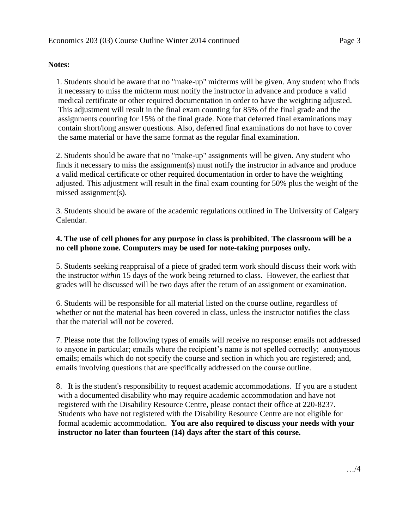### **Notes:**

1. Students should be aware that no "make-up" midterms will be given. Any student who finds it necessary to miss the midterm must notify the instructor in advance and produce a valid medical certificate or other required documentation in order to have the weighting adjusted. This adjustment will result in the final exam counting for 85% of the final grade and the assignments counting for 15% of the final grade. Note that deferred final examinations may contain short/long answer questions. Also, deferred final examinations do not have to cover the same material or have the same format as the regular final examination.

2. Students should be aware that no "make-up" assignments will be given. Any student who finds it necessary to miss the assignment(s) must notify the instructor in advance and produce a valid medical certificate or other required documentation in order to have the weighting adjusted. This adjustment will result in the final exam counting for 50% plus the weight of the missed assignment(s).

3. Students should be aware of the academic regulations outlined in The University of Calgary Calendar.

## **4. The use of cell phones for any purpose in class is prohibited**. **The classroom will be a no cell phone zone. Computers may be used for note-taking purposes only.**

5. Students seeking reappraisal of a piece of graded term work should discuss their work with the instructor *within* 15 days of the work being returned to class. However, the earliest that grades will be discussed will be two days after the return of an assignment or examination.

6. Students will be responsible for all material listed on the course outline, regardless of whether or not the material has been covered in class, unless the instructor notifies the class that the material will not be covered.

7. Please note that the following types of emails will receive no response: emails not addressed to anyone in particular; emails where the recipient's name is not spelled correctly; anonymous emails; emails which do not specify the course and section in which you are registered; and, emails involving questions that are specifically addressed on the course outline.

8. It is the student's responsibility to request academic accommodations. If you are a student with a documented disability who may require academic accommodation and have not registered with the Disability Resource Centre, please contact their office at 220-8237. Students who have not registered with the Disability Resource Centre are not eligible for formal academic accommodation. **You are also required to discuss your needs with your instructor no later than fourteen (14) days after the start of this course.**